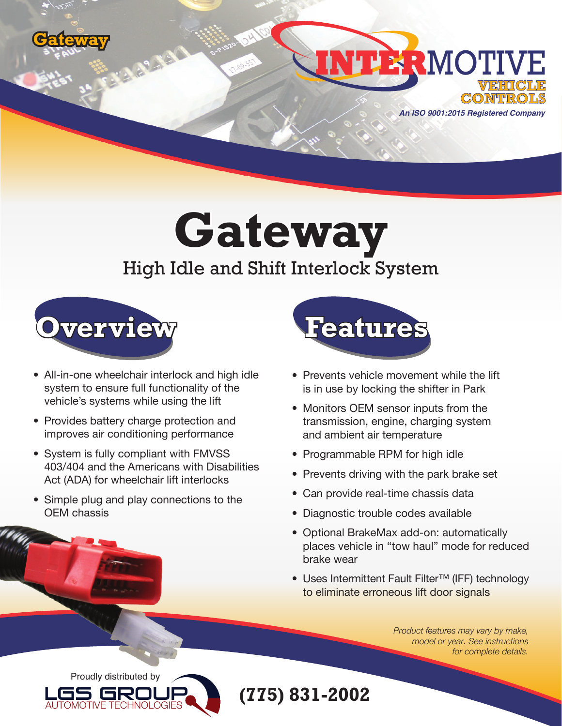



**Gateway**

## High Idle and Shift Interlock System



- All-in-one wheelchair interlock and high idle system to ensure full functionality of the vehicle's systems while using the lift
- Provides battery charge protection and improves air conditioning performance
- System is fully compliant with FMVSS 403/404 and the Americans with Disabilities Act (ADA) for wheelchair lift interlocks
- Simple plug and play connections to the OEM chassis



- Prevents vehicle movement while the lift is in use by locking the shifter in Park
- Monitors OEM sensor inputs from the transmission, engine, charging system and ambient air temperature
- Programmable RPM for high idle
- Prevents driving with the park brake set
- Can provide real-time chassis data
- Diagnostic trouble codes available
- Optional BrakeMax add-on: automatically places vehicle in "tow haul" mode for reduced brake wear
- Uses Intermittent Fault Filter™ (IFF) technology to eliminate erroneous lift door signals

*Product features may vary by make, model or year. See instructions for complete details.*



**(775) 831-2002**